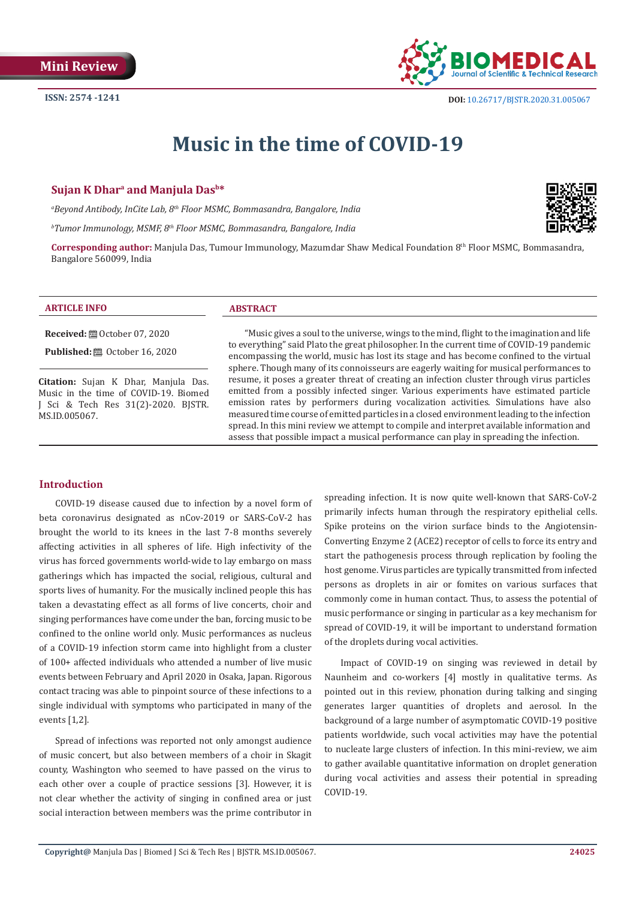

 **DOI:** [10.26717/BJSTR.2020.31.0050](http://dx.doi.org/10.26717/BJSTR.2020.31.005067)67

# **Music in the time of COVID-19**

## **Sujan K Dhara and Manjula Dasb\***

*a Beyond Antibody, InCite Lab, 8th Floor MSMC, Bommasandra, Bangalore, India b Tumor Immunology, MSMF, 8th Floor MSMC, Bommasandra, Bangalore, India*



**Corresponding author:** Manjula Das, Tumour Immunology, Mazumdar Shaw Medical Foundation 8th Floor MSMC, Bommasandra, Bangalore 560099, India

#### **ARTICLE INFO ABSTRACT**

**Received:** ■ October 07, 2020

**Published:** ■ October 16, 2020

**Citation:** Sujan K Dhar, Manjula Das. Music in the time of COVID-19. Biomed J Sci & Tech Res 31(2)-2020. BJSTR. MS.ID.005067.

"Music gives a soul to the universe, wings to the mind, flight to the imagination and life to everything" said Plato the great philosopher. In the current time of COVID-19 pandemic encompassing the world, music has lost its stage and has become confined to the virtual sphere. Though many of its connoisseurs are eagerly waiting for musical performances to resume, it poses a greater threat of creating an infection cluster through virus particles emitted from a possibly infected singer. Various experiments have estimated particle emission rates by performers during vocalization activities. Simulations have also measured time course of emitted particles in a closed environment leading to the infection spread. In this mini review we attempt to compile and interpret available information and assess that possible impact a musical performance can play in spreading the infection.

#### **Introduction**

COVID-19 disease caused due to infection by a novel form of beta coronavirus designated as nCov-2019 or SARS-CoV-2 has brought the world to its knees in the last 7-8 months severely affecting activities in all spheres of life. High infectivity of the virus has forced governments world-wide to lay embargo on mass gatherings which has impacted the social, religious, cultural and sports lives of humanity. For the musically inclined people this has taken a devastating effect as all forms of live concerts, choir and singing performances have come under the ban, forcing music to be confined to the online world only. Music performances as nucleus of a COVID-19 infection storm came into highlight from a cluster of 100+ affected individuals who attended a number of live music events between February and April 2020 in Osaka, Japan. Rigorous contact tracing was able to pinpoint source of these infections to a single individual with symptoms who participated in many of the events [1,2].

Spread of infections was reported not only amongst audience of music concert, but also between members of a choir in Skagit county, Washington who seemed to have passed on the virus to each other over a couple of practice sessions [3]. However, it is not clear whether the activity of singing in confined area or just social interaction between members was the prime contributor in spreading infection. It is now quite well-known that SARS-CoV-2 primarily infects human through the respiratory epithelial cells. Spike proteins on the virion surface binds to the Angiotensin-Converting Enzyme 2 (ACE2) receptor of cells to force its entry and start the pathogenesis process through replication by fooling the host genome. Virus particles are typically transmitted from infected persons as droplets in air or fomites on various surfaces that commonly come in human contact. Thus, to assess the potential of music performance or singing in particular as a key mechanism for spread of COVID-19, it will be important to understand formation of the droplets during vocal activities.

Impact of COVID-19 on singing was reviewed in detail by Naunheim and co-workers [4] mostly in qualitative terms. As pointed out in this review, phonation during talking and singing generates larger quantities of droplets and aerosol. In the background of a large number of asymptomatic COVID-19 positive patients worldwide, such vocal activities may have the potential to nucleate large clusters of infection. In this mini-review, we aim to gather available quantitative information on droplet generation during vocal activities and assess their potential in spreading COVID-19.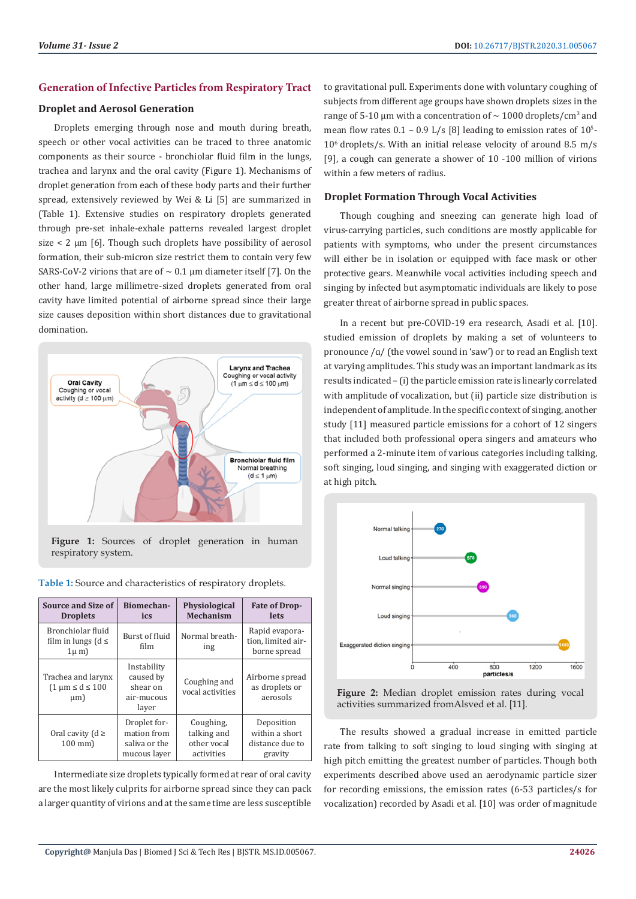# **Generation of Infective Particles from Respiratory Tract**

#### **Droplet and Aerosol Generation**

Droplets emerging through nose and mouth during breath, speech or other vocal activities can be traced to three anatomic components as their source - bronchiolar fluid film in the lungs, trachea and larynx and the oral cavity (Figure 1). Mechanisms of droplet generation from each of these body parts and their further spread, extensively reviewed by Wei & Li [5] are summarized in (Table 1). Extensive studies on respiratory droplets generated through pre-set inhale-exhale patterns revealed largest droplet size  $\leq$  2 um [6]. Though such droplets have possibility of aerosol formation, their sub-micron size restrict them to contain very few SARS-CoV-2 virions that are of  $\sim 0.1$  µm diameter itself [7]. On the other hand, large millimetre-sized droplets generated from oral cavity have limited potential of airborne spread since their large size causes deposition within short distances due to gravitational domination.



Figure 1: Sources of droplet generation in human respiratory system.

| <b>Source and Size of</b><br><b>Droplets</b>                              | Biomechan-<br>ics                                            | <b>Physiological</b><br><b>Mechanism</b>              | <b>Fate of Drop-</b><br>lets                               |
|---------------------------------------------------------------------------|--------------------------------------------------------------|-------------------------------------------------------|------------------------------------------------------------|
| Bronchiolar fluid<br>film in lungs ( $d \le$<br>$1\mu$ m)                 | Burst of fluid<br>film                                       | Normal breath-<br>ing                                 | Rapid evapora-<br>tion, limited air-<br>borne spread       |
| Trachea and larynx<br>$1 \text{ }\mu\text{m} \leq d \leq 100$<br>$\mu$ m) | Instability<br>caused by<br>shear on<br>air-mucous<br>layer  | Coughing and<br>vocal activities                      | Airborne spread<br>as droplets or<br>aerosols              |
| Oral cavity $(d \ge$<br>$100 \text{ mm}$                                  | Droplet for-<br>mation from<br>saliya or the<br>mucous layer | Coughing,<br>talking and<br>other vocal<br>activities | Deposition<br>within a short<br>distance due to<br>gravity |

| Table 1: Source and characteristics of respiratory droplets. |
|--------------------------------------------------------------|
|--------------------------------------------------------------|

Intermediate size droplets typically formed at rear of oral cavity are the most likely culprits for airborne spread since they can pack a larger quantity of virions and at the same time are less susceptible

to gravitational pull. Experiments done with voluntary coughing of subjects from different age groups have shown droplets sizes in the range of 5-10  $\mu$ m with a concentration of  $\sim$  1000 droplets/cm<sup>3</sup> and mean flow rates  $0.1$  –  $0.9$  L/s [8] leading to emission rates of  $10^{\circ}$ -106 droplets/s. With an initial release velocity of around 8.5 m/s [9], a cough can generate a shower of 10 -100 million of virions within a few meters of radius.

# **Droplet Formation Through Vocal Activities**

Though coughing and sneezing can generate high load of virus-carrying particles, such conditions are mostly applicable for patients with symptoms, who under the present circumstances will either be in isolation or equipped with face mask or other protective gears. Meanwhile vocal activities including speech and singing by infected but asymptomatic individuals are likely to pose greater threat of airborne spread in public spaces.

In a recent but pre-COVID-19 era research, Asadi et al. [10]. studied emission of droplets by making a set of volunteers to pronounce /ɑ/ (the vowel sound in 'saw') or to read an English text at varying amplitudes. This study was an important landmark as its results indicated – (i) the particle emission rate is linearly correlated with amplitude of vocalization, but (ii) particle size distribution is independent of amplitude. In the specific context of singing, another study [11] measured particle emissions for a cohort of 12 singers that included both professional opera singers and amateurs who performed a 2-minute item of various categories including talking, soft singing, loud singing, and singing with exaggerated diction or at high pitch.



**Figure 2:** Median droplet emission rates during vocal activities summarized fromAlsved et al. [11].

The results showed a gradual increase in emitted particle rate from talking to soft singing to loud singing with singing at high pitch emitting the greatest number of particles. Though both experiments described above used an aerodynamic particle sizer for recording emissions, the emission rates (6-53 particles/s for vocalization) recorded by Asadi et al. [10] was order of magnitude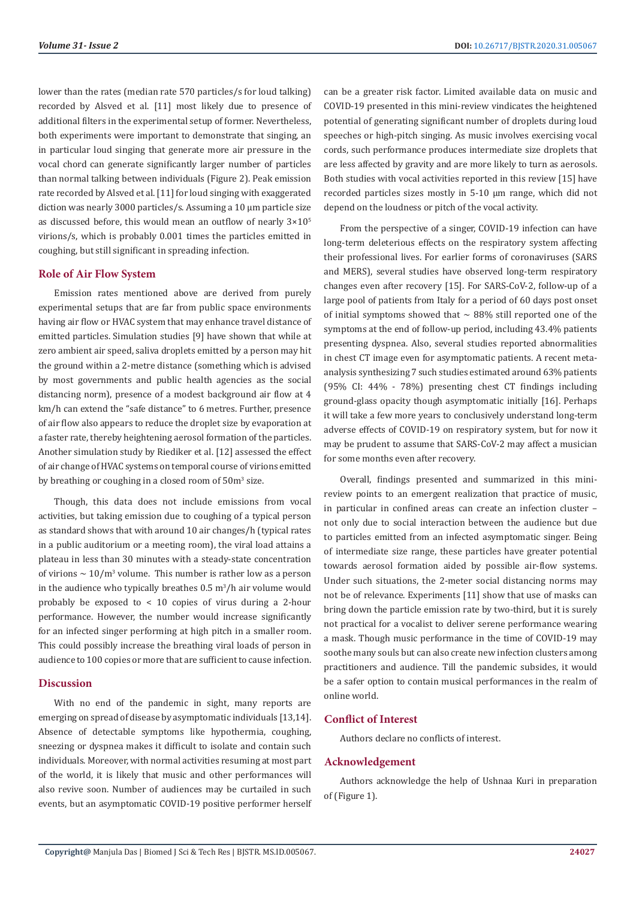lower than the rates (median rate 570 particles/s for loud talking) recorded by Alsved et al. [11] most likely due to presence of additional filters in the experimental setup of former. Nevertheless, both experiments were important to demonstrate that singing, an in particular loud singing that generate more air pressure in the vocal chord can generate significantly larger number of particles than normal talking between individuals (Figure 2). Peak emission rate recorded by Alsved et al. [11] for loud singing with exaggerated diction was nearly 3000 particles/s. Assuming a 10 µm particle size as discussed before, this would mean an outflow of nearly  $3\times10^{5}$ virions/s, which is probably 0.001 times the particles emitted in coughing, but still significant in spreading infection.

#### **Role of Air Flow System**

Emission rates mentioned above are derived from purely experimental setups that are far from public space environments having air flow or HVAC system that may enhance travel distance of emitted particles. Simulation studies [9] have shown that while at zero ambient air speed, saliva droplets emitted by a person may hit the ground within a 2-metre distance (something which is advised by most governments and public health agencies as the social distancing norm), presence of a modest background air flow at 4 km/h can extend the "safe distance" to 6 metres. Further, presence of air flow also appears to reduce the droplet size by evaporation at a faster rate, thereby heightening aerosol formation of the particles. Another simulation study by Riediker et al. [12] assessed the effect of air change of HVAC systems on temporal course of virions emitted by breathing or coughing in a closed room of 50m<sup>3</sup> size.

Though, this data does not include emissions from vocal activities, but taking emission due to coughing of a typical person as standard shows that with around 10 air changes/h (typical rates in a public auditorium or a meeting room), the viral load attains a plateau in less than 30 minutes with a steady-state concentration of virions  $\sim 10/m^3$  volume. This number is rather low as a person in the audience who typically breathes  $0.5 \text{ m}^3/\text{h}$  air volume would probably be exposed to < 10 copies of virus during a 2-hour performance. However, the number would increase significantly for an infected singer performing at high pitch in a smaller room. This could possibly increase the breathing viral loads of person in audience to 100 copies or more that are sufficient to cause infection.

#### **Discussion**

With no end of the pandemic in sight, many reports are emerging on spread of disease by asymptomatic individuals [13,14]. Absence of detectable symptoms like hypothermia, coughing, sneezing or dyspnea makes it difficult to isolate and contain such individuals. Moreover, with normal activities resuming at most part of the world, it is likely that music and other performances will also revive soon. Number of audiences may be curtailed in such events, but an asymptomatic COVID-19 positive performer herself can be a greater risk factor. Limited available data on music and COVID-19 presented in this mini-review vindicates the heightened potential of generating significant number of droplets during loud speeches or high-pitch singing. As music involves exercising vocal cords, such performance produces intermediate size droplets that are less affected by gravity and are more likely to turn as aerosols. Both studies with vocal activities reported in this review [15] have recorded particles sizes mostly in 5-10 µm range, which did not depend on the loudness or pitch of the vocal activity.

From the perspective of a singer, COVID-19 infection can have long-term deleterious effects on the respiratory system affecting their professional lives. For earlier forms of coronaviruses (SARS and MERS), several studies have observed long-term respiratory changes even after recovery [15]. For SARS-CoV-2, follow-up of a large pool of patients from Italy for a period of 60 days post onset of initial symptoms showed that  $\sim$  88% still reported one of the symptoms at the end of follow-up period, including 43.4% patients presenting dyspnea. Also, several studies reported abnormalities in chest CT image even for asymptomatic patients. A recent metaanalysis synthesizing 7 such studies estimated around 63% patients (95% CI: 44% - 78%) presenting chest CT findings including ground-glass opacity though asymptomatic initially [16]. Perhaps it will take a few more years to conclusively understand long-term adverse effects of COVID-19 on respiratory system, but for now it may be prudent to assume that SARS-CoV-2 may affect a musician for some months even after recovery.

Overall, findings presented and summarized in this minireview points to an emergent realization that practice of music, in particular in confined areas can create an infection cluster – not only due to social interaction between the audience but due to particles emitted from an infected asymptomatic singer. Being of intermediate size range, these particles have greater potential towards aerosol formation aided by possible air-flow systems. Under such situations, the 2-meter social distancing norms may not be of relevance. Experiments [11] show that use of masks can bring down the particle emission rate by two-third, but it is surely not practical for a vocalist to deliver serene performance wearing a mask. Though music performance in the time of COVID-19 may soothe many souls but can also create new infection clusters among practitioners and audience. Till the pandemic subsides, it would be a safer option to contain musical performances in the realm of online world.

## **Conflict of Interest**

Authors declare no conflicts of interest.

#### **Acknowledgement**

Authors acknowledge the help of Ushnaa Kuri in preparation of (Figure 1).